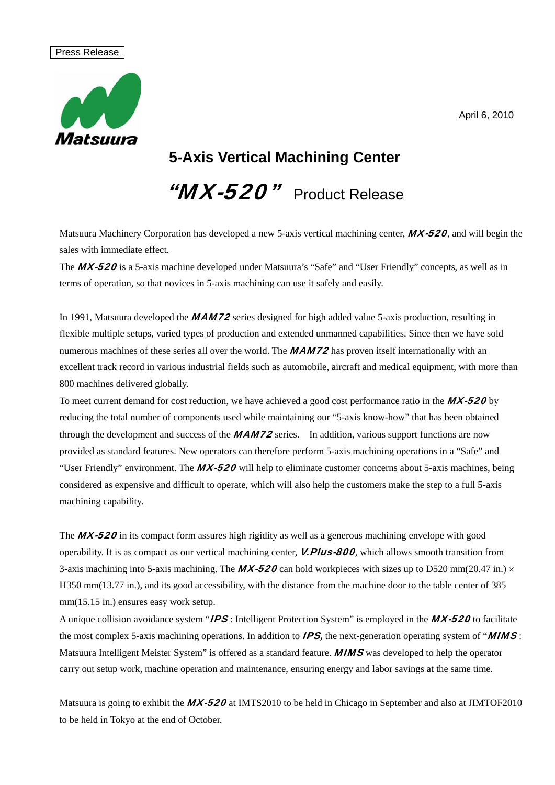#### April 6, 2010

#### Press Release



## **5-Axis Vertical Machining Center**

"MX-520" Product Release

Matsuura Machinery Corporation has developed a new 5-axis vertical machining center,  $MX-520$ , and will begin the sales with immediate effect.

The MX-520 is a 5-axis machine developed under Matsuura's "Safe" and "User Friendly" concepts, as well as in terms of operation, so that novices in 5-axis machining can use it safely and easily.

In 1991, Matsuura developed the **MAM72** series designed for high added value 5-axis production, resulting in flexible multiple setups, varied types of production and extended unmanned capabilities. Since then we have sold numerous machines of these series all over the world. The **MAM72** has proven itself internationally with an excellent track record in various industrial fields such as automobile, aircraft and medical equipment, with more than 800 machines delivered globally.

To meet current demand for cost reduction, we have achieved a good cost performance ratio in the  $MX-520$  by reducing the total number of components used while maintaining our "5-axis know-how" that has been obtained through the development and success of the **MAM72** series. In addition, various support functions are now provided as standard features. New operators can therefore perform 5-axis machining operations in a "Safe" and "User Friendly" environment. The  $MX-520$  will help to eliminate customer concerns about 5-axis machines, being considered as expensive and difficult to operate, which will also help the customers make the step to a full 5-axis machining capability.

The MX-520 in its compact form assures high rigidity as well as a generous machining envelope with good operability. It is as compact as our vertical machining center, **V.Plus-800**, which allows smooth transition from 3-axis machining into 5-axis machining. The **MX-520** can hold workpieces with sizes up to D520 mm(20.47 in.)  $\times$ H350 mm(13.77 in.), and its good accessibility, with the distance from the machine door to the table center of 385 mm(15.15 in.) ensures easy work setup.

A unique collision avoidance system "**IPS**: Intelligent Protection System" is employed in the **MX-520** to facilitate the most complex 5-axis machining operations. In addition to IPS**,** the next-generation operating system of "MIMS : Matsuura Intelligent Meister System" is offered as a standard feature. **MIMS** was developed to help the operator carry out setup work, machine operation and maintenance, ensuring energy and labor savings at the same time.

Matsuura is going to exhibit the MX-520 at IMTS2010 to be held in Chicago in September and also at JIMTOF2010 to be held in Tokyo at the end of October.